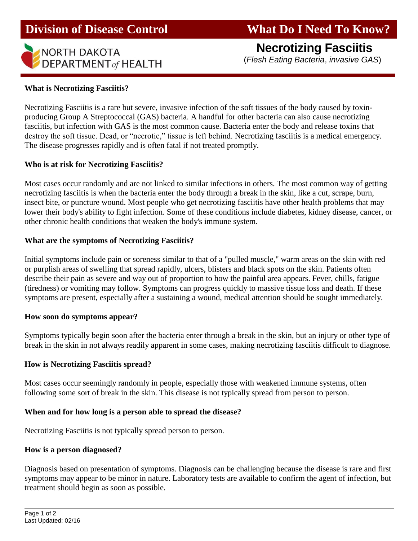## **Division of Disease Control What Do I Need To Know?**

# **NECFOTIZING FASCIITIS**<br>DEPARTMENT of HEALTH (*Flesh Eating Bacteria, invasive GAS*)

**Necrotizing Fasciitis**

## **What is Necrotizing Fasciitis?**

I

Necrotizing Fasciitis is a rare but severe, invasive infection of the soft tissues of the body caused by toxinproducing Group A Streptococcal (GAS) bacteria. A handful for other bacteria can also cause necrotizing fasciitis, but infection with GAS is the most common cause. Bacteria enter the body and release toxins that destroy the soft tissue. Dead, or "necrotic," tissue is left behind. Necrotizing fasciitis is a medical emergency. The disease progresses rapidly and is often fatal if not treated promptly.

## **Who is at risk for Necrotizing Fasciitis?**

Most cases occur randomly and are not linked to similar infections in others. The most common way of getting necrotizing fasciitis is when the bacteria enter the body through a break in the skin, like a cut, scrape, burn, insect bite, or puncture wound. Most people who get necrotizing fasciitis have other health problems that may lower their body's ability to fight infection. Some of these conditions include diabetes, kidney disease, cancer, or other chronic health conditions that weaken the body's immune system.

## **What are the symptoms of Necrotizing Fasciitis?**

Initial symptoms include pain or soreness similar to that of a "pulled muscle," warm areas on the skin with red or purplish areas of swelling that spread rapidly, ulcers, blisters and black spots on the skin. Patients often describe their pain as severe and way out of proportion to how the painful area appears. Fever, chills, fatigue (tiredness) or vomiting may follow. Symptoms can progress quickly to massive tissue loss and death. If these symptoms are present, especially after a sustaining a wound, medical attention should be sought immediately.

## **How soon do symptoms appear?**

Symptoms typically begin soon after the bacteria enter through a break in the skin, but an injury or other type of break in the skin in not always readily apparent in some cases, making necrotizing fasciitis difficult to diagnose.

## **How is Necrotizing Fasciitis spread?**

Most cases occur seemingly randomly in people, especially those with weakened immune systems, often following some sort of break in the skin. This disease is not typically spread from person to person.

## **When and for how long is a person able to spread the disease?**

Necrotizing Fasciitis is not typically spread person to person.

## **How is a person diagnosed?**

Diagnosis based on presentation of symptoms. Diagnosis can be challenging because the disease is rare and first symptoms may appear to be minor in nature. Laboratory tests are available to confirm the agent of infection, but treatment should begin as soon as possible.